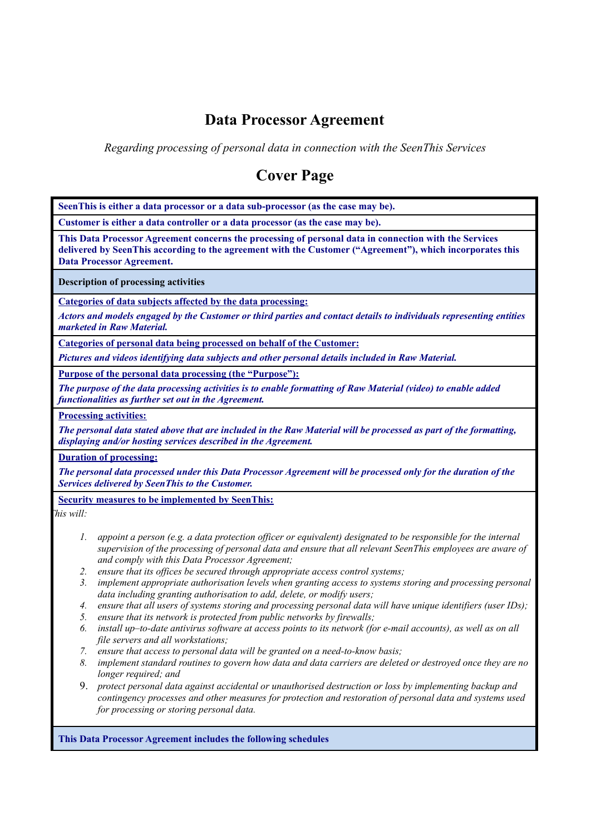# **Data Processor Agreement**

*Regarding processing of personal data in connection with the SeenThis Services*

# **Cover Page**

**SeenThis is either a data processor or a data sub-processor (as the case may be). Customer is either a data controller or a data processor (as the case may be). This Data Processor Agreement concerns the processing of personal data in connection with the Services delivered by SeenThis according to the agreement with the Customer ("Agreement"), which incorporates this Data Processor Agreement. Description of processing activities Categories of data subjects affected by the data processing:** Actors and models engaged by the Customer or third parties and contact details to individuals representing entities *marketed in Raw Material.* **Categories of personal data being processed on behalf of the Customer:** *Pictures and videos identifying data subjects and other personal details included in Raw Material.* **Purpose of the personal data processing (the "Purpose"):** The purpose of the data processing activities is to enable formatting of Raw Material (video) to enable added *functionalities as further set out in the Agreement.* **Processing activities:** The personal data stated above that are included in the Raw Material will be processed as part of the formatting, *displaying and/or hosting services described in the Agreement.* **Duration of processing:** The personal data processed under this Data Processor Agreement will be processed only for the duration of the *Services delivered by SeenThis to the Customer.* **Security measures to be implemented by SeenThis:** *This will:* 1. appoint a person (e.g. a data protection officer or equivalent) designated to be responsible for the internal supervision of the processing of personal data and ensure that all relevant SeenThis employees are aware of *and comply with this Data Processor Agreement; 2. ensure that its of ices be secured through appropriate access control systems; 3. implement appropriate authorisation levels when granting access to systems storing and processing personal data including granting authorisation to add, delete, or modify users;* 4. ensure that all users of systems storing and processing personal data will have unique identifiers (user IDs); *5. ensure that its network is protected from public networks by firewalls;* 6. install up-to-date antivirus software at access points to its network (for e-mail accounts), as well as on all *file servers and all workstations; 7. ensure that access to personal data will be granted on a need-to-know basis;* 8. implement standard routines to govern how data and data carriers are deleted or destroved once they are no *longer required; and* 9. *protect personal data against accidental or unauthorised destruction or loss by implementing backup and contingency processes and other measures for protection and restoration of personal data and systems used for processing or storing personal data.*

**This Data Processor Agreement includes the following schedules**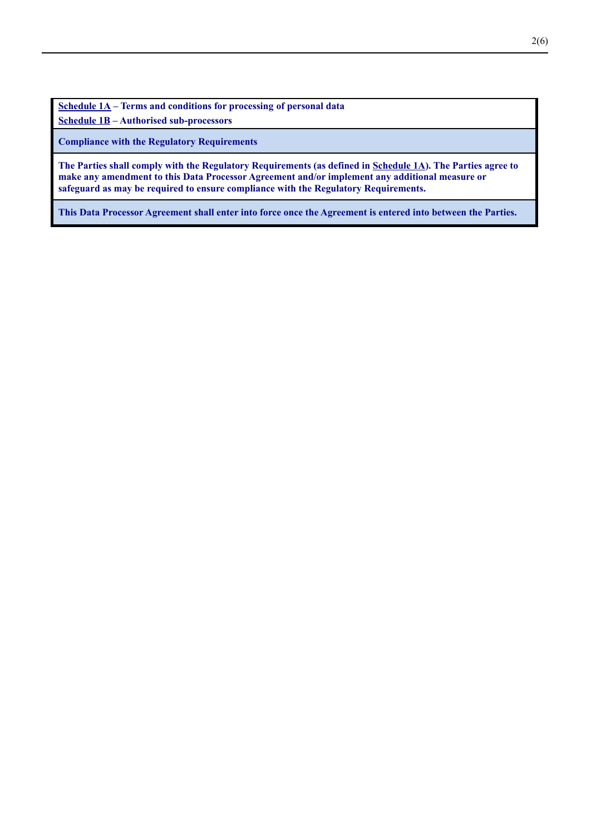**Schedule 1A – Terms and conditions for processing of personal data Schedule 1B – Authorised sub-processors**

**Compliance with the Regulatory Requirements**

The Parties shall comply with the Regulatory Requirements (as defined in Schedule 1A). The Parties agree to **make any amendment to this Data Processor Agreement and/or implement any additional measure or safeguard as may be required to ensure compliance with the Regulatory Requirements.**

This Data Processor Agreement shall enter into force once the Agreement is entered into between the Parties.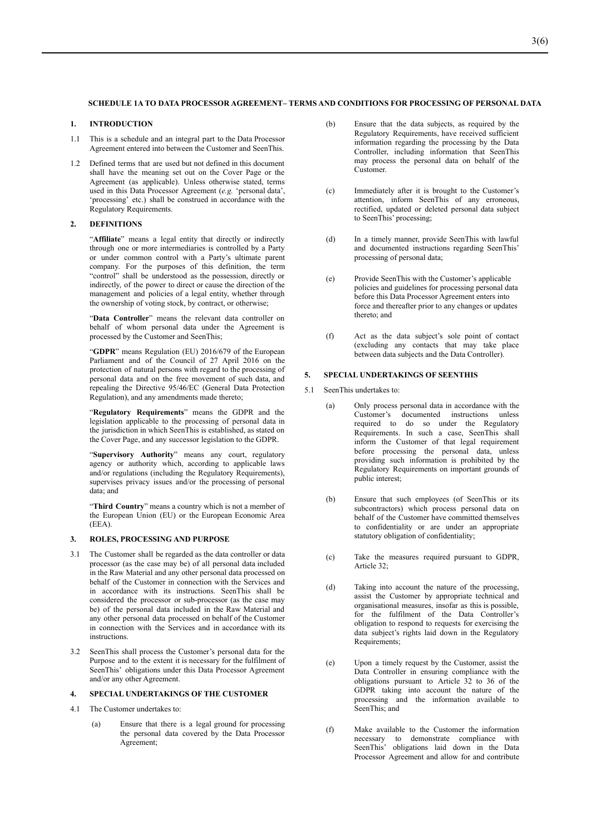#### **SCHEDULE 1A TO DATA PROCESSOR AGREEMENT– TERMS AND CONDITIONS FOR PROCESSING OF PERSONAL DATA**

## **1. INTRODUCTION**

- 1.1 This is a schedule and an integral part to the Data Processor Agreement entered into between the Customer and SeenThis.
- 1.2 Defined terms that are used but not defined in this document shall have the meaning set out on the Cover Page or the Agreement (as applicable). Unless otherwise stated, terms used in this Data Processor Agreement (*e.g.* 'personal data', 'processing' etc.) shall be construed in accordance with the Regulatory Requirements.

### **2. DEFINITIONS**

"**Affiliate**" means a legal entity that directly or indirectly through one or more intermediaries is controlled by a Party or under common control with a Party's ultimate parent company. For the purposes of this definition, the term "control" shall be understood as the possession, directly or indirectly, of the power to direct or cause the direction of the management and policies of a legal entity, whether through the ownership of voting stock, by contract, or otherwise;

"**Data Controller**" means the relevant data controller on behalf of whom personal data under the Agreement is processed by the Customer and SeenThis;

"**GDPR**" means Regulation (EU) 2016/679 of the European Parliament and of the Council of 27 April 2016 on the protection of natural persons with regard to the processing of personal data and on the free movement of such data, and repealing the Directive 95/46/EC (General Data Protection Regulation), and any amendments made thereto;

"**Regulatory Requirements**" means the GDPR and the legislation applicable to the processing of personal data in the jurisdiction in which SeenThis is established, as stated on the Cover Page, and any successor legislation to the GDPR.

"**Supervisory Authority**" means any court, regulatory agency or authority which, according to applicable laws and/or regulations (including the Regulatory Requirements), supervises privacy issues and/or the processing of personal data; and

"**Third Country**" means a country which is not a member of the European Union (EU) or the European Economic Area (EEA).

#### **3. ROLES, PROCESSING AND PURPOSE**

- 3.1 The Customer shall be regarded as the data controller or data processor (as the case may be) of all personal data included in the Raw Material and any other personal data processed on behalf of the Customer in connection with the Services and in accordance with its instructions. SeenThis shall be considered the processor or sub-processor (as the case may be) of the personal data included in the Raw Material and any other personal data processed on behalf of the Customer in connection with the Services and in accordance with its instructions.
- 3.2 SeenThis shall process the Customer's personal data for the Purpose and to the extent it is necessary for the fulfilment of SeenThis' obligations under this Data Processor Agreement and/or any other Agreement.

## **4. SPECIAL UNDERTAKINGS OF THE CUSTOMER**

- 4.1 The Customer undertakes to:
	- (a) Ensure that there is a legal ground for processing the personal data covered by the Data Processor Agreement;
- (b) Ensure that the data subjects, as required by the Regulatory Requirements, have received sufficient information regarding the processing by the Data Controller, including information that SeenThis may process the personal data on behalf of the Customer.
- (c) Immediately after it is brought to the Customer's attention, inform SeenThis of any erroneous, rectified, updated or deleted personal data subject to SeenThis' processing;
- (d) In a timely manner, provide SeenThis with lawful and documented instructions regarding SeenThis' processing of personal data;
- (e) Provide SeenThis with the Customer's applicable policies and guidelines for processing personal data before this Data Processor Agreement enters into force and thereafter prior to any changes or updates thereto; and
- (f) Act as the data subject's sole point of contact (excluding any contacts that may take place between data subjects and the Data Controller).

#### **5. SPECIAL UNDERTAKINGS OF SEENTHIS**

- 5.1 SeenThis undertakes to:
	- (a) Only process personal data in accordance with the Customer's documented instructions unless required to do so under the Regulatory Requirements. In such a case, SeenThis shall inform the Customer of that legal requirement before processing the personal data, unless providing such information is prohibited by the Regulatory Requirements on important grounds of public interest;
	- (b) Ensure that such employees (of SeenThis or its subcontractors) which process personal data on behalf of the Customer have committed themselves to confidentiality or are under an appropriate statutory obligation of confidentiality;
	- (c) Take the measures required pursuant to GDPR, Article 32;
	- (d) Taking into account the nature of the processing, assist the Customer by appropriate technical and organisational measures, insofar as this is possible, for the fulfilment of the Data Controller's obligation to respond to requests for exercising the data subject's rights laid down in the Regulatory Requirements;
	- (e) Upon a timely request by the Customer, assist the Data Controller in ensuring compliance with the obligations pursuant to Article 32 to 36 of the GDPR taking into account the nature of the processing and the information available to SeenThis; and
	- (f) Make available to the Customer the information necessary to demonstrate compliance with SeenThis' obligations laid down in the Data Processor Agreement and allow for and contribute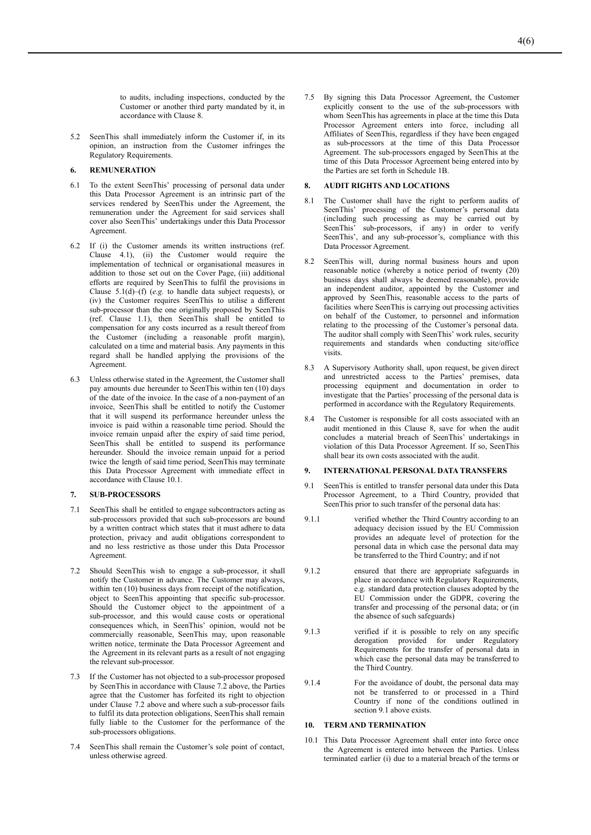to audits, including inspections, conducted by the Customer or another third party mandated by it, in accordance with Clause 8.

5.2 SeenThis shall immediately inform the Customer if, in its opinion, an instruction from the Customer infringes the Regulatory Requirements.

# **6. REMUNERATION**

- 6.1 To the extent SeenThis' processing of personal data under this Data Processor Agreement is an intrinsic part of the services rendered by SeenThis under the Agreement, the remuneration under the Agreement for said services shall cover also SeenThis' undertakings under this Data Processor Agreement.
- 6.2 If (i) the Customer amends its written instructions (ref. Clause 4.1), (ii) the Customer would require the implementation of technical or organisational measures in addition to those set out on the Cover Page, (iii) additional efforts are required by SeenThis to fulfil the provisions in Clause 5.1(d)–(f) (*e.g.* to handle data subject requests), or (iv) the Customer requires SeenThis to utilise a different sub-processor than the one originally proposed by SeenThis (ref. Clause 1.1), then SeenThis shall be entitled to compensation for any costs incurred as a result thereof from the Customer (including a reasonable profit margin), calculated on a time and material basis. Any payments in this regard shall be handled applying the provisions of the Agreement.
- 6.3 Unless otherwise stated in the Agreement, the Customer shall pay amounts due hereunder to SeenThis within ten (10) days of the date of the invoice. In the case of a non-payment of an invoice, SeenThis shall be entitled to notify the Customer that it will suspend its performance hereunder unless the invoice is paid within a reasonable time period. Should the invoice remain unpaid after the expiry of said time period, SeenThis shall be entitled to suspend its performance hereunder. Should the invoice remain unpaid for a period twice the length of said time period, SeenThis may terminate this Data Processor Agreement with immediate effect in accordance with Clause 10.1.

#### **7. SUB-PROCESSORS**

- 7.1 SeenThis shall be entitled to engage subcontractors acting as sub-processors provided that such sub-processors are bound by a written contract which states that it must adhere to data protection, privacy and audit obligations correspondent to and no less restrictive as those under this Data Processor Agreement.
- Should SeenThis wish to engage a sub-processor, it shall notify the Customer in advance. The Customer may always, within ten (10) business days from receipt of the notification, object to SeenThis appointing that specific sub-processor. Should the Customer object to the appointment of a sub-processor, and this would cause costs or operational consequences which, in SeenThis' opinion, would not be commercially reasonable, SeenThis may, upon reasonable written notice, terminate the Data Processor Agreement and the Agreement in its relevant parts as a result of not engaging the relevant sub-processor.
- 7.3 If the Customer has not objected to a sub-processor proposed by SeenThis in accordance with Clause 7.2 above, the Parties agree that the Customer has forfeited its right to objection under Clause 7.2 above and where such a sub-processor fails to fulfil its data protection obligations, SeenThis shall remain fully liable to the Customer for the performance of the sub-processors obligations.
- 7.4 SeenThis shall remain the Customer's sole point of contact, unless otherwise agreed.

7.5 By signing this Data Processor Agreement, the Customer explicitly consent to the use of the sub-processors with whom SeenThis has agreements in place at the time this Data Processor Agreement enters into force, including all Affiliates of SeenThis, regardless if they have been engaged as sub-processors at the time of this Data Processor Agreement. The sub-processors engaged by SeenThis at the time of this Data Processor Agreement being entered into by the Parties are set forth in Schedule 1B.

#### **8. AUDIT RIGHTS AND LOCATIONS**

- 8.1 The Customer shall have the right to perform audits of SeenThis' processing of the Customer's personal data (including such processing as may be carried out by SeenThis' sub-processors, if any) in order to verify SeenThis', and any sub-processor's, compliance with this Data Processor Agreement.
- SeenThis will, during normal business hours and upon reasonable notice (whereby a notice period of twenty (20) business days shall always be deemed reasonable), provide an independent auditor, appointed by the Customer and approved by SeenThis, reasonable access to the parts of facilities where SeenThis is carrying out processing activities on behalf of the Customer, to personnel and information relating to the processing of the Customer's personal data. The auditor shall comply with SeenThis' work rules, security requirements and standards when conducting site/office visits.
- 8.3 A Supervisory Authority shall, upon request, be given direct and unrestricted access to the Parties' premises, data processing equipment and documentation in order to investigate that the Parties' processing of the personal data is performed in accordance with the Regulatory Requirements.
- 8.4 The Customer is responsible for all costs associated with an audit mentioned in this Clause 8, save for when the audit concludes a material breach of SeenThis' undertakings in violation of this Data Processor Agreement. If so, SeenThis shall bear its own costs associated with the audit.

## **9. INTERNATIONAL PERSONAL DATA TRANSFERS**

- 9.1 SeenThis is entitled to transfer personal data under this Data Processor Agreement, to a Third Country, provided that SeenThis prior to such transfer of the personal data has:
- 9.1.1 verified whether the Third Country according to an adequacy decision issued by the EU Commission provides an adequate level of protection for the personal data in which case the personal data may be transferred to the Third Country; and if not
- 9.1.2 ensured that there are appropriate safeguards in place in accordance with Regulatory Requirements, e.g. standard data protection clauses adopted by the EU Commission under the GDPR, covering the transfer and processing of the personal data; or (in the absence of such safeguards)
- 9.1.3 verified if it is possible to rely on any specific derogation provided for under Regulatory Requirements for the transfer of personal data in which case the personal data may be transferred to the Third Country.
- 9.1.4 For the avoidance of doubt, the personal data may not be transferred to or processed in a Third Country if none of the conditions outlined in section 9.1 above exists.

#### **10. TERM AND TERMINATION**

10.1 This Data Processor Agreement shall enter into force once the Agreement is entered into between the Parties. Unless terminated earlier (i) due to a material breach of the terms or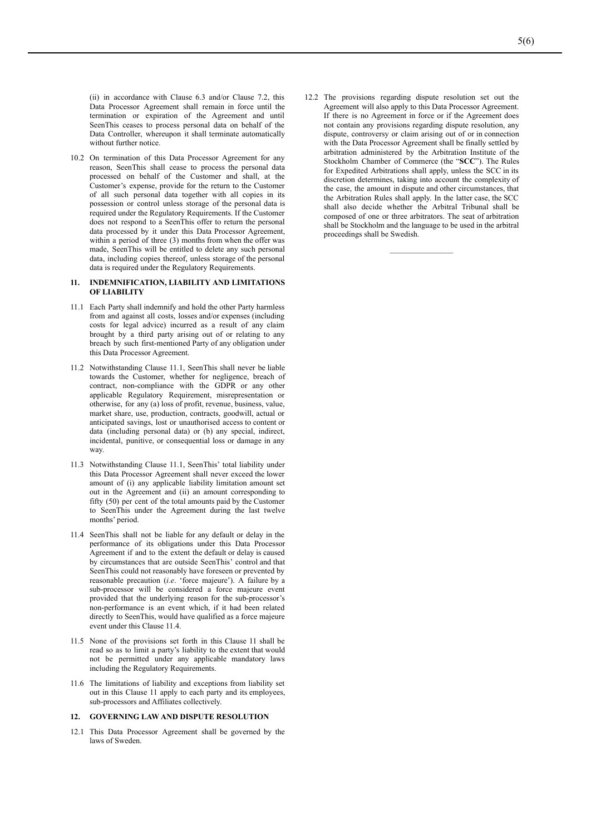(ii) in accordance with Clause 6.3 and/or Clause 7.2, this Data Processor Agreement shall remain in force until the termination or expiration of the Agreement and until SeenThis ceases to process personal data on behalf of the Data Controller, whereupon it shall terminate automatically without further notice.

10.2 On termination of this Data Processor Agreement for any reason, SeenThis shall cease to process the personal data processed on behalf of the Customer and shall, at the Customer's expense, provide for the return to the Customer of all such personal data together with all copies in its possession or control unless storage of the personal data is required under the Regulatory Requirements. If the Customer does not respond to a SeenThis offer to return the personal data processed by it under this Data Processor Agreement, within a period of three (3) months from when the offer was made, SeenThis will be entitled to delete any such personal data, including copies thereof, unless storage of the personal data is required under the Regulatory Requirements.

#### **11. INDEMNIFICATION, LIABILITY AND LIMITATIONS OF LIABILITY**

- 11.1 Each Party shall indemnify and hold the other Party harmless from and against all costs, losses and/or expenses (including costs for legal advice) incurred as a result of any claim brought by a third party arising out of or relating to any breach by such first-mentioned Party of any obligation under this Data Processor Agreement.
- 11.2 Notwithstanding Clause 11.1, SeenThis shall never be liable towards the Customer, whether for negligence, breach of contract, non-compliance with the GDPR or any other applicable Regulatory Requirement, misrepresentation or otherwise, for any (a) loss of profit, revenue, business, value, market share, use, production, contracts, goodwill, actual or anticipated savings, lost or unauthorised access to content or data (including personal data) or (b) any special, indirect, incidental, punitive, or consequential loss or damage in any way.
- 11.3 Notwithstanding Clause 11.1, SeenThis' total liability under this Data Processor Agreement shall never exceed the lower amount of (i) any applicable liability limitation amount set out in the Agreement and (ii) an amount corresponding to fifty (50) per cent of the total amounts paid by the Customer to SeenThis under the Agreement during the last twelve months' period.
- 11.4 SeenThis shall not be liable for any default or delay in the performance of its obligations under this Data Processor Agreement if and to the extent the default or delay is caused by circumstances that are outside SeenThis' control and that SeenThis could not reasonably have foreseen or prevented by reasonable precaution (*i.e*. 'force majeure'). A failure by a sub-processor will be considered a force majeure event provided that the underlying reason for the sub-processor's non-performance is an event which, if it had been related directly to SeenThis, would have qualified as a force majeure event under this Clause 11.4.
- 11.5 None of the provisions set forth in this Clause 11 shall be read so as to limit a party's liability to the extent that would not be permitted under any applicable mandatory laws including the Regulatory Requirements.
- 11.6 The limitations of liability and exceptions from liability set out in this Clause 11 apply to each party and its employees, sub-processors and Affiliates collectively.

#### **12. GOVERNING LAW AND DISPUTE RESOLUTION**

12.1 This Data Processor Agreement shall be governed by the laws of Sweden.

12.2 The provisions regarding dispute resolution set out the Agreement will also apply to this Data Processor Agreement. If there is no Agreement in force or if the Agreement does not contain any provisions regarding dispute resolution, any dispute, controversy or claim arising out of or in connection with the Data Processor Agreement shall be finally settled by arbitration administered by the Arbitration Institute of the Stockholm Chamber of Commerce (the "**SCC**"). The Rules for Expedited Arbitrations shall apply, unless the SCC in its discretion determines, taking into account the complexity of the case, the amount in dispute and other circumstances, that the Arbitration Rules shall apply. In the latter case, the SCC shall also decide whether the Arbitral Tribunal shall be composed of one or three arbitrators. The seat of arbitration shall be Stockholm and the language to be used in the arbitral proceedings shall be Swedish.